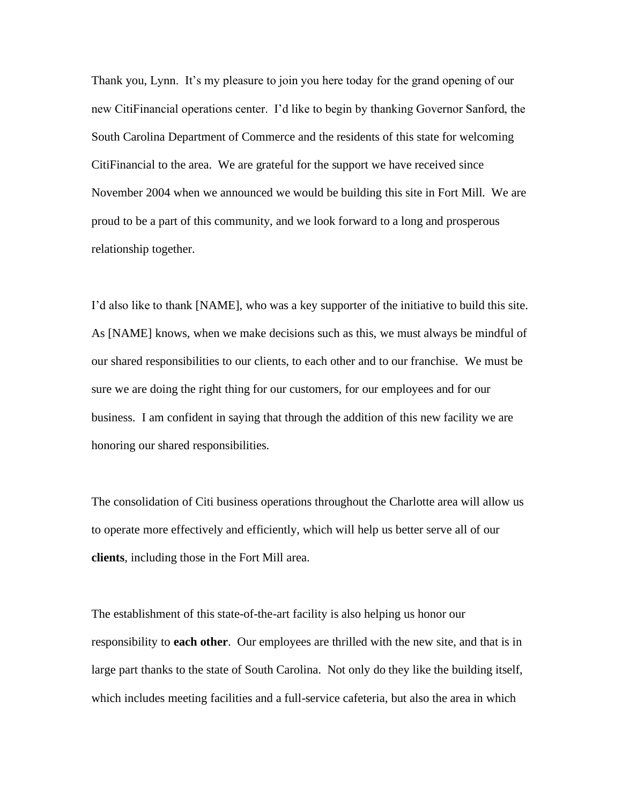Thank you, Lynn. It's my pleasure to join you here today for the grand opening of our new CitiFinancial operations center. I'd like to begin by thanking Governor Sanford, the South Carolina Department of Commerce and the residents of this state for welcoming CitiFinancial to the area. We are grateful for the support we have received since November 2004 when we announced we would be building this site in Fort Mill. We are proud to be a part of this community, and we look forward to a long and prosperous relationship together.

I'd also like to thank [NAME], who was a key supporter of the initiative to build this site. As [NAME] knows, when we make decisions such as this, we must always be mindful of our shared responsibilities to our clients, to each other and to our franchise. We must be sure we are doing the right thing for our customers, for our employees and for our business. I am confident in saying that through the addition of this new facility we are honoring our shared responsibilities.

The consolidation of Citi business operations throughout the Charlotte area will allow us to operate more effectively and efficiently, which will help us better serve all of our **clients**, including those in the Fort Mill area.

The establishment of this state-of-the-art facility is also helping us honor our responsibility to **each other**. Our employees are thrilled with the new site, and that is in large part thanks to the state of South Carolina. Not only do they like the building itself, which includes meeting facilities and a full-service cafeteria, but also the area in which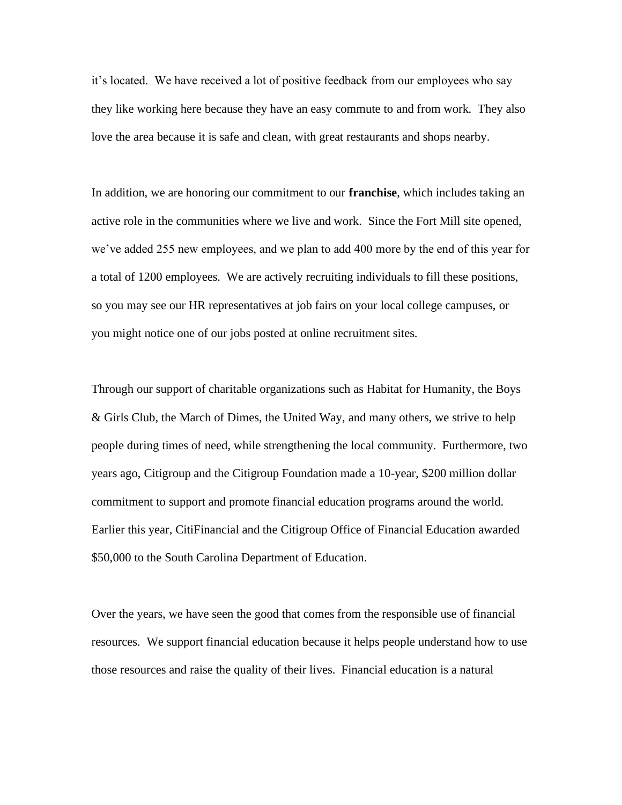it's located. We have received a lot of positive feedback from our employees who say they like working here because they have an easy commute to and from work. They also love the area because it is safe and clean, with great restaurants and shops nearby.

In addition, we are honoring our commitment to our **franchise**, which includes taking an active role in the communities where we live and work. Since the Fort Mill site opened, we've added 255 new employees, and we plan to add 400 more by the end of this year for a total of 1200 employees. We are actively recruiting individuals to fill these positions, so you may see our HR representatives at job fairs on your local college campuses, or you might notice one of our jobs posted at online recruitment sites.

Through our support of charitable organizations such as Habitat for Humanity, the Boys & Girls Club, the March of Dimes, the United Way, and many others, we strive to help people during times of need, while strengthening the local community. Furthermore, two years ago, Citigroup and the Citigroup Foundation made a 10-year, \$200 million dollar commitment to support and promote financial education programs around the world. Earlier this year, CitiFinancial and the Citigroup Office of Financial Education awarded \$50,000 to the South Carolina Department of Education.

Over the years, we have seen the good that comes from the responsible use of financial resources. We support financial education because it helps people understand how to use those resources and raise the quality of their lives. Financial education is a natural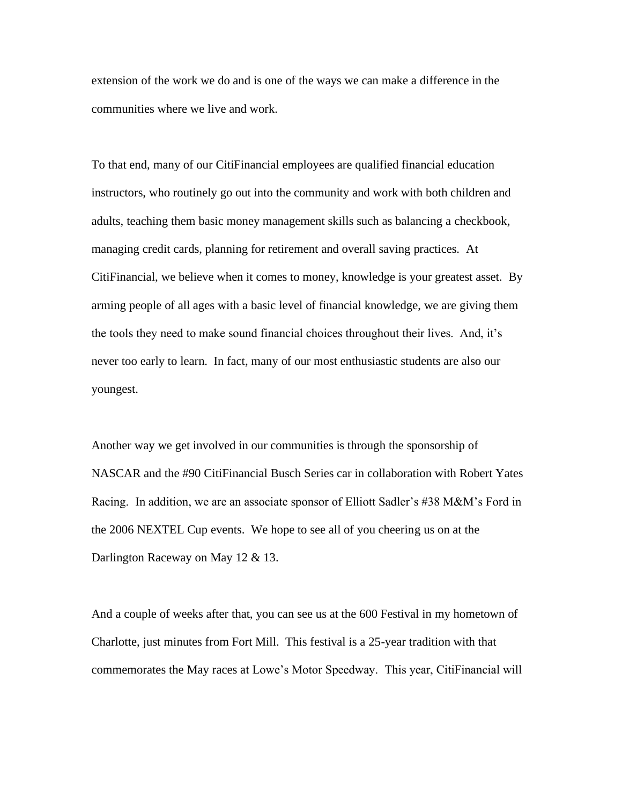extension of the work we do and is one of the ways we can make a difference in the communities where we live and work.

To that end, many of our CitiFinancial employees are qualified financial education instructors, who routinely go out into the community and work with both children and adults, teaching them basic money management skills such as balancing a checkbook, managing credit cards, planning for retirement and overall saving practices. At CitiFinancial, we believe when it comes to money, knowledge is your greatest asset. By arming people of all ages with a basic level of financial knowledge, we are giving them the tools they need to make sound financial choices throughout their lives. And, it's never too early to learn. In fact, many of our most enthusiastic students are also our youngest.

Another way we get involved in our communities is through the sponsorship of NASCAR and the #90 CitiFinancial Busch Series car in collaboration with Robert Yates Racing. In addition, we are an associate sponsor of Elliott Sadler's #38 M&M's Ford in the 2006 NEXTEL Cup events. We hope to see all of you cheering us on at the Darlington Raceway on May 12 & 13.

And a couple of weeks after that, you can see us at the 600 Festival in my hometown of Charlotte, just minutes from Fort Mill. This festival is a 25-year tradition with that commemorates the May races at Lowe's Motor Speedway. This year, CitiFinancial will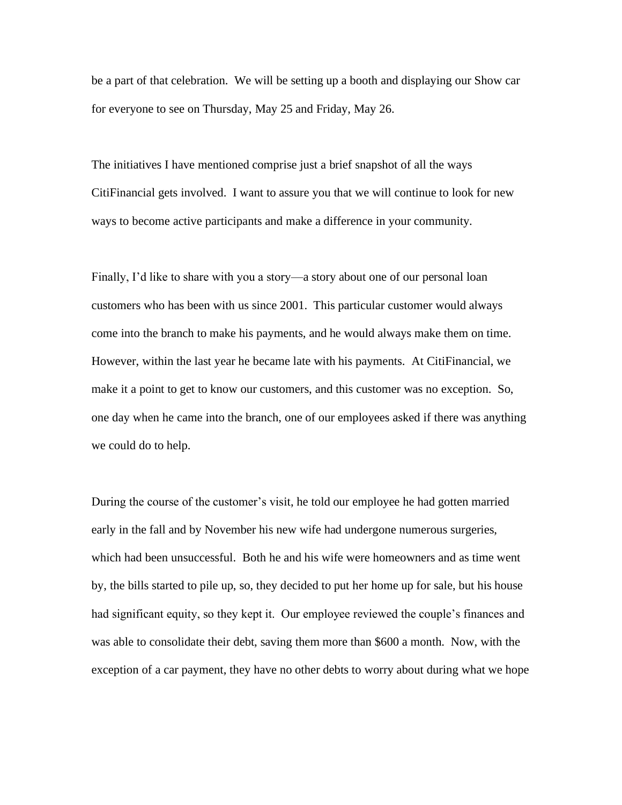be a part of that celebration. We will be setting up a booth and displaying our Show car for everyone to see on Thursday, May 25 and Friday, May 26.

The initiatives I have mentioned comprise just a brief snapshot of all the ways CitiFinancial gets involved. I want to assure you that we will continue to look for new ways to become active participants and make a difference in your community.

Finally, I'd like to share with you a story—a story about one of our personal loan customers who has been with us since 2001. This particular customer would always come into the branch to make his payments, and he would always make them on time. However, within the last year he became late with his payments. At CitiFinancial, we make it a point to get to know our customers, and this customer was no exception. So, one day when he came into the branch, one of our employees asked if there was anything we could do to help.

During the course of the customer's visit, he told our employee he had gotten married early in the fall and by November his new wife had undergone numerous surgeries, which had been unsuccessful. Both he and his wife were homeowners and as time went by, the bills started to pile up, so, they decided to put her home up for sale, but his house had significant equity, so they kept it. Our employee reviewed the couple's finances and was able to consolidate their debt, saving them more than \$600 a month. Now, with the exception of a car payment, they have no other debts to worry about during what we hope